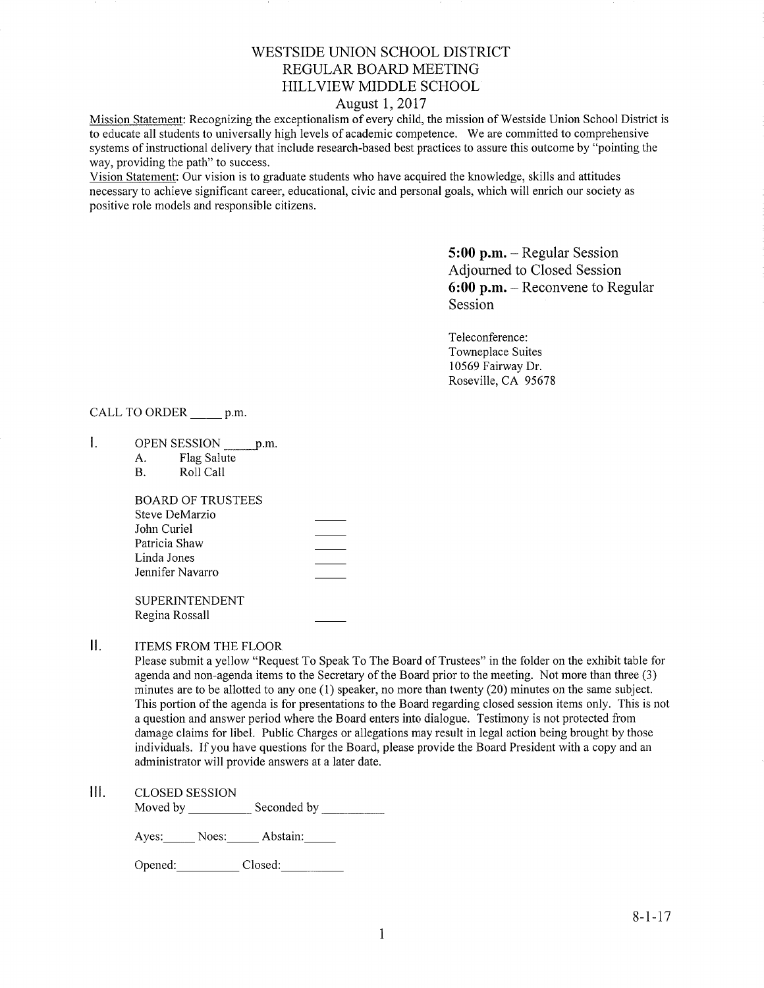## WESTSIDE UNION SCHOOL DISTRICT REGULAR BOARD MEETING HILLVIEW MIDDLE SCHOOL

## August 1,2017

Mission Statement: Recognizing the exceptionalism of every child, the mission of Westside Union School District is to educate all students to universally high levels of academic competence. We are committed to comprehensive systems of instructional delivery that include research-based best practices to assure this outcome by "pointing the way, providing the path" to success.

Vision Statement: Our vision is to graduate students who have acquired the knowledge, skills and attitudes necessary to achieve significant career, educational, civic and personal goals, which will enrich our society as positive role models and responsible citizens.

> 5:00 p.m. - Regular Session Adjourned to Closed Session 6:00 p.m. - Reconvene to Regular Session

Teleconference: Towneplace Suites 10569 Fairway Dr. Roseville, CA <sup>95678</sup>

CALL TO ORDER \_\_\_\_\_\_ p.m

- OPEN SESSION p.m. L
	- A. Flag Salute B. Roll Call
	-

| <b>BOARD OF TRUSTEES</b> |  |
|--------------------------|--|
| Steve DeMarzio           |  |
| John Curiel              |  |
| Patricia Shaw            |  |
| Linda Jones              |  |
| Jennifer Navarro         |  |
|                          |  |

**SUPERINTENDENT** Regina Rossall

 $II.$ ITEMS FROM THE FLOOR

Please submit a yellow "Request To Speak To The Board of Trustees" in the folder on the exhibit table for agenda and non-agenda items to the Secretary of the Board prior to the meeting. Not more than three (3) minutes are to be allotted to any one (1) speaker, no more than twenty (20) minutes on the same subject. This portion of the agenda is for presentations to the Board regarding closed session items only. This is not a question and answer period where the Board enters into dialogue. Testimony is not protected from damage claims for libel. Public Charges or allegations may result in legal action being brought by those individuals. If you have questions for the Board, please provide the Board President with a copy and an administrator will provide answers at a later date.

lll. cLosED sESSroN

Moved by Seconded by

Ayes: Noes: Abstain:

Opened: Closed: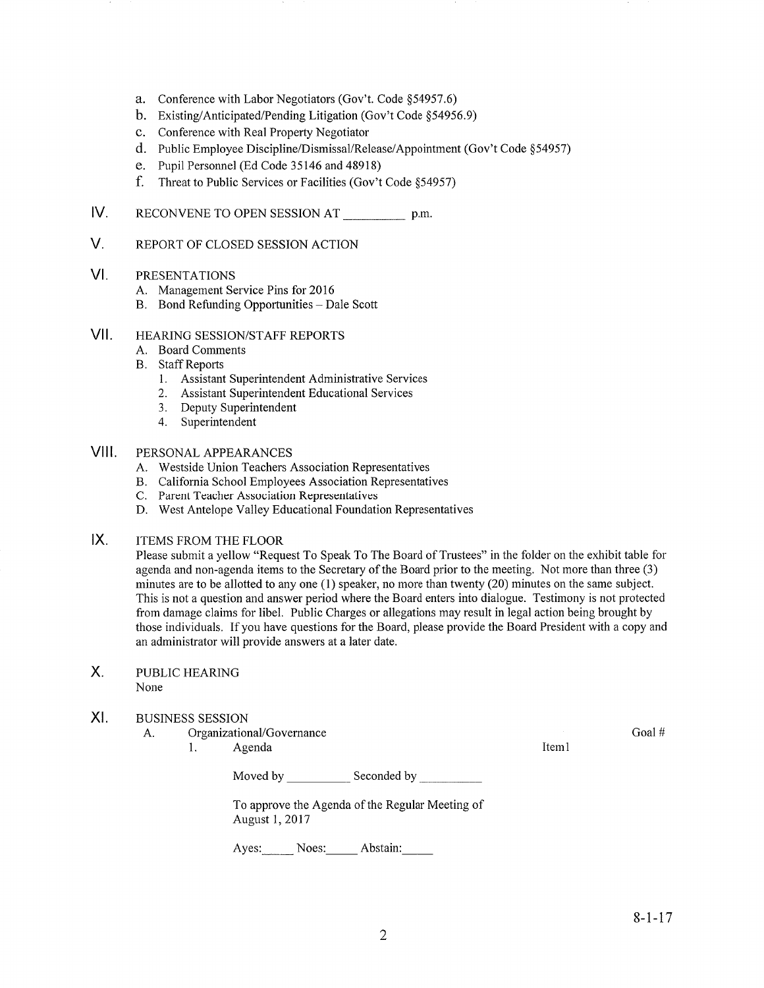- a. Conference with Labor Negotiators (Gov't. Code \$54957.6)
- b. Existing/Anticipated/Pending Litigation (Gov't Code \$54956.9)
- c. Conference with Real Property Negotiator
- d. Public Employee Discipline/Dismissal/Release/Appointment (Gov't Code \$54957)
- e. Pupil Personnel (Ed Code 35146 and 48918)
- f. Threat to Public Services or Facilities (Gov't Code \$54957)
- IV RECONVENE TO OPEN SESSION AT p.m.
- V. REPORT OF CLOSED SESSION ACTION
- VI PRESENTATIONS
	-
	- A. Management Service Pins for 2016<br>B. Bond Refunding Opportunities Dale Scott

#### vil HEAzuNG SESSION/STAFF REPORTS

- A. Board Comments
- **B.** Staff Reports
	- 1. Assistant Superintendent Administrative Services
	- 2. Assistant Superintendent Educational Services
	- 3. Deputy Superintendent
	- 4. Superintendent

#### vilt PERSONAL APPEARANCES

- A. Westside Union Teachers Association Representatives
- B. California School Employees Association Representatives
- 
- C. Parent Teacher Association Representatives D. West Antelope Valley Educational Foundation Representatives
- $IX.$ ITEMS FROM THE FLOOR

Please submit a yellow "Request To Speak To The Board of Trustees" in the folder on the exhibit table for agenda and non-agenda items to the Secretary of the Board prior to the meeting. Not more than three (3) minutes are to be allotted to any one (l) speaker, no more than twenty (20) minutes on the same subject. This is not a question and answer period where the Board enters into dialogue. Testimony is not protected from damage claims for libel. Public Charges or allegations may result in legal action being brought by those individuals. If you have questions for the Board, please provide the Board President with a copy and an administrator will provide answers at a later date.

- PUBLIC HEARING None X.
- XI. BUSINESS SESSION
	- A. Organizational/Governance
		- 1. Agenda 11. aastal 11. aastal 11. aastal 11. aastal 11. aastal 11. aastal 11. aastal 11. aastal 11. aastal 1

Moved by Seconded by Seconded by Seconded by Seconded by Seconded by Seconded by Seconded by Seconded by Seconded by Seconded by Seconded by Seconded by Seconded by Seconded by Seconded by Seconded by Seconded by Seconded

To approve the Agenda of the Regular Meeting of August 1,2017

Ayes: Noes: Abstain:

Goal #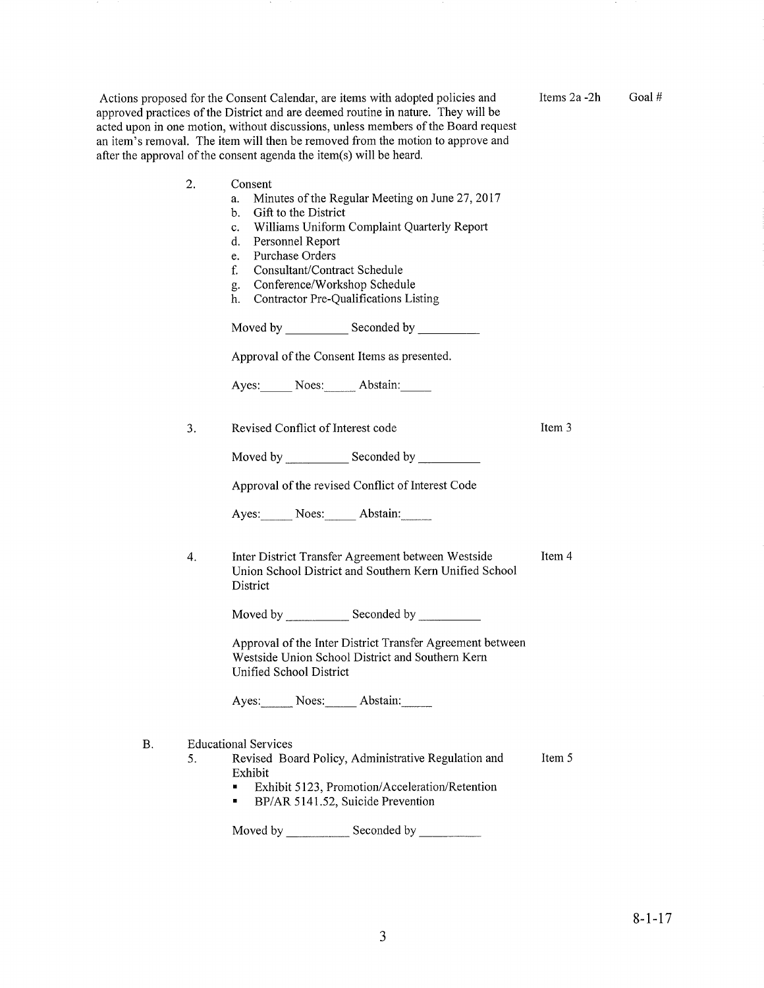Actions proposed for the Consent Calendar, are items with adopted policies and approved practices of the District and are deemed routine in nature. They will be acted upon in one motion, without discussions, unless members of the Board request an item's removal. The item will then be removed from the motion to approve and after the approval

Items2a -2h Goal #

|    | of the consent agenda the item(s) will be heard.                                                                                                                                                                                                                                                                                                                                                                                                                                                                                                                                                                  |        |
|----|-------------------------------------------------------------------------------------------------------------------------------------------------------------------------------------------------------------------------------------------------------------------------------------------------------------------------------------------------------------------------------------------------------------------------------------------------------------------------------------------------------------------------------------------------------------------------------------------------------------------|--------|
| 2. | Consent<br>Minutes of the Regular Meeting on June 27, 2017<br>a.<br>Gift to the District<br>b.<br>Williams Uniform Complaint Quarterly Report<br>c.<br>d.<br>Personnel Report<br>Purchase Orders<br>e.<br>f.<br>Consultant/Contract Schedule<br>Conference/Workshop Schedule<br>g.<br>Contractor Pre-Qualifications Listing<br>h.<br>Moved by Seconded by Seconded by Seconded by Seconded by Seconded by Seconded by Seconded by Seconded by Seconded by Seconded by Seconded by Seconded by Seconded by Seconded by Seconded by Seconded by Seconded by Seconded<br>Approval of the Consent Items as presented. |        |
|    | Ayes: Noes: Abstain:                                                                                                                                                                                                                                                                                                                                                                                                                                                                                                                                                                                              |        |
| 3. | Revised Conflict of Interest code                                                                                                                                                                                                                                                                                                                                                                                                                                                                                                                                                                                 | Item 3 |
|    | Approval of the revised Conflict of Interest Code                                                                                                                                                                                                                                                                                                                                                                                                                                                                                                                                                                 |        |
|    | Ayes: Noes: Abstain:                                                                                                                                                                                                                                                                                                                                                                                                                                                                                                                                                                                              |        |
| 4. | Inter District Transfer Agreement between Westside<br>Union School District and Southern Kern Unified School<br>District                                                                                                                                                                                                                                                                                                                                                                                                                                                                                          | Item 4 |
|    |                                                                                                                                                                                                                                                                                                                                                                                                                                                                                                                                                                                                                   |        |
|    | Approval of the Inter District Transfer Agreement between<br>Westside Union School District and Southern Kern<br>Unified School District                                                                                                                                                                                                                                                                                                                                                                                                                                                                          |        |
|    | Ayes: Noes: Abstain:                                                                                                                                                                                                                                                                                                                                                                                                                                                                                                                                                                                              |        |
| 5. | <b>Educational Services</b><br>Revised Board Policy, Administrative Regulation and<br>Exhibit<br>Exhibit 5123, Promotion/Acceleration/Retention<br>BP/AR 5141.52, Suicide Prevention                                                                                                                                                                                                                                                                                                                                                                                                                              | Item 5 |

Moved by \_\_\_\_\_\_\_\_\_\_\_\_\_\_ Seconded by

B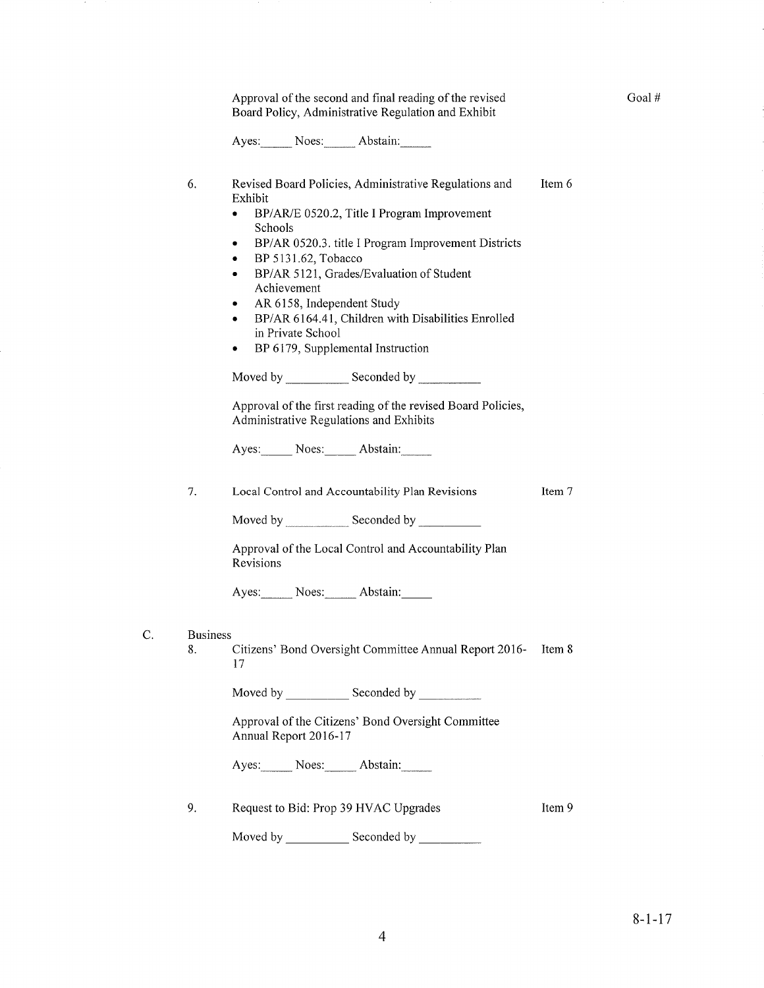Approval of the second and final reading of the revised Board Policy, Administrative Regulation and Exhibit

Ayes: Noes: Abstain:

- 6 Revised Board Policies, Administrative Regulations and Exhibit Item 6
	- BP/AR/E 0520.2, Title I Program Improvement Schools
	- . BP/AR 0520.3. title I Program Improvement Districts
	- . BP 5131 .62, Tobacco
	- . BP/AR 5121, Grades/Evaluation of Student Achievement
	- AR 6158, Independent Study
	- BP/AR 6164.41, Children with Disabilities Enrolled in Private School
	- BP 6179, Supplemental Instruction

Moved by \_\_\_\_\_\_\_\_\_\_\_\_ Seconded by \_

Approval of the first reading of the revised Board Policies, Administrative Regulations and Exhibits

Ayes: Noes: Abstain:

1. Local Control and Accountability Plan Revisions

Item 7

Moved by \_\_\_\_\_\_\_\_\_\_\_\_\_\_\_ Seconded by

Approval of the Local Control and Accountability Plan Revisions

Ayes: Noes: Abstain:

C. Business

8. Citizens' Bond Oversight Committee Annual Report 2016- Item 8 17

Moved by \_\_\_\_\_\_\_\_\_\_\_ Seconded by \_

Approval of the Citizens' Bond Oversight Committee Annual Report 2016-1'7

Ayes: Noes: Abstain:

9. Request to Bid: Prop 39 HVAC Upgrades Item 9

Seconded bv Moved bv

Goal #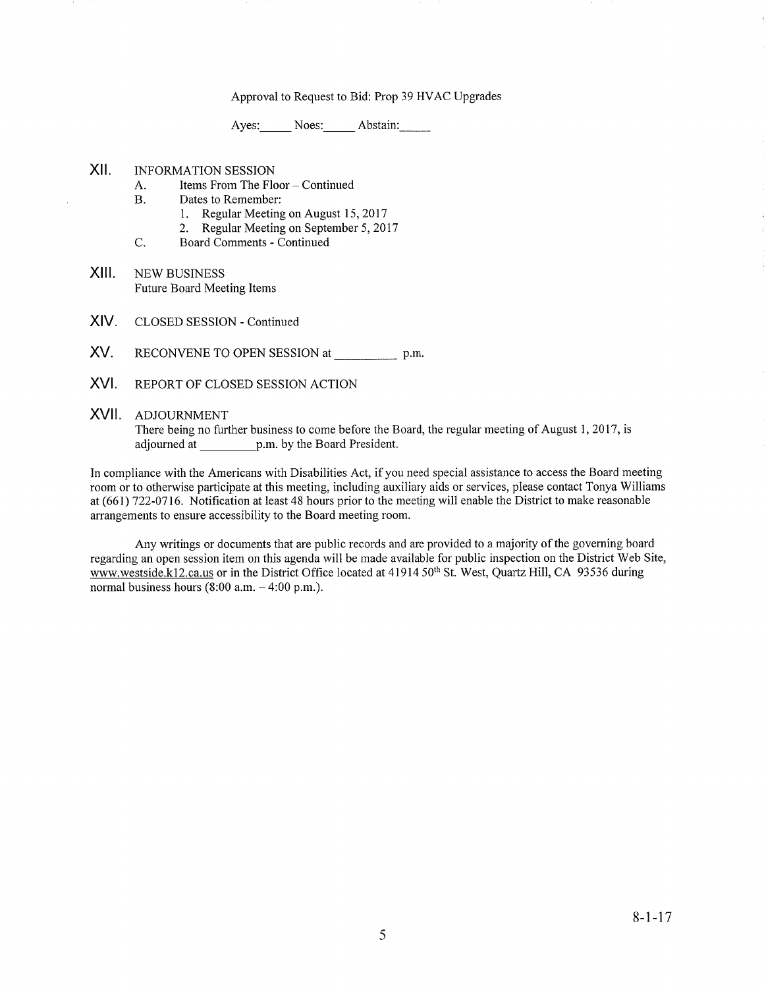### Approval to Request to Bid: Prop 39 HVAC Upgrades

Ayes: Noes: Abstain:

### XII. INFORMATION SESSION

- A. Items From The Floor Continued<br>B. Dates to Remember:
- - 1. Regular Meeting on August 15,2017
- 2. Regular Meeting on September 5, 2017<br>C. Board Comments Continued
	-
- XIII. NEW BUSINESS Future Board Meeting Items
- XIV. CLOSED SESSION - Continued
- XV. RECONVENE TO OPEN SESSION at \_\_\_\_\_\_\_\_\_\_\_\_\_\_\_\_\_ p.m.
- XVI. REPORT OF CLOSED SESSION ACTION

#### XVII. ADJOURNMENT

There being no further business to come before the Board, the regular meeting of August 1,2017 , is adjourned at p.m. by the Board President.

In compliance with the Americans with Disabilities Act, if you need special assistance to access the Board meeting room or to otherwise participate at this meeting, including auxiliary aids or services, please contact Tonya Williams at (661) 722-0716. Notification at least 48 hours prior to the meeting will enable the District to make reasonable arrangements to ensure accessibility to the Board meeting room.

Any writings or documents that are public records and are provided to a majority of the governing board regarding an open session item on this agenda will be made available for public inspection on the District Web Site, www.westside.k12.ca.us or in the District Office located at 41914 50<sup>th</sup> St. West, Quartz Hill, CA 93536 during normal business hours  $(8:00$  a.m.  $-4:00$  p.m.).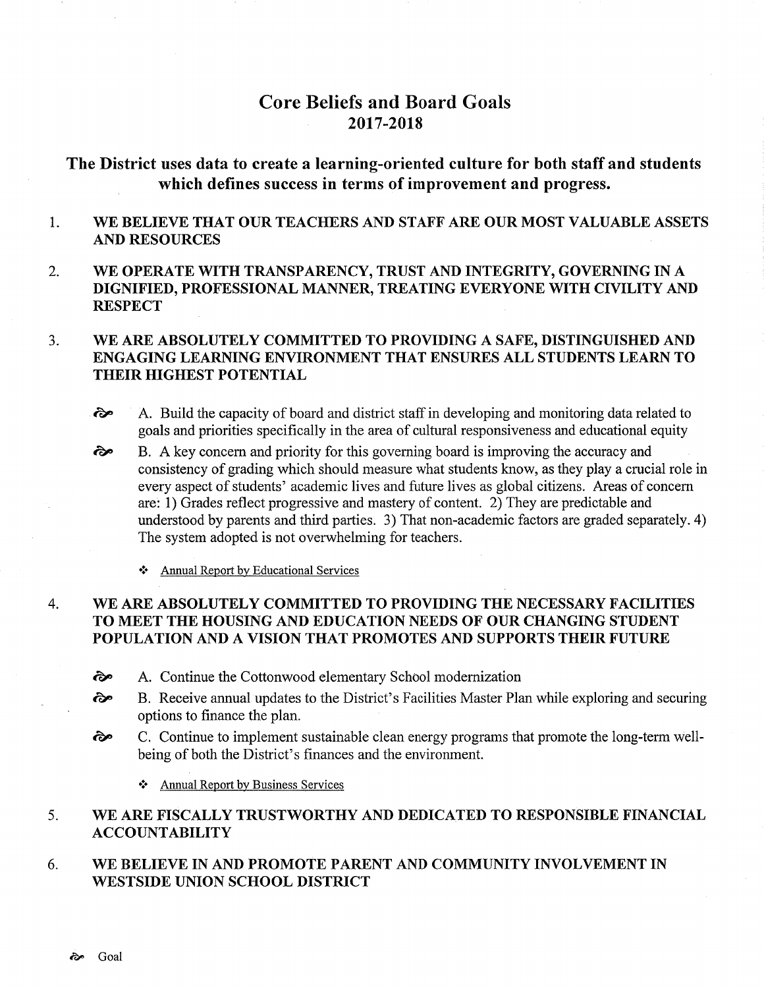# Core Beliefs and Board Goals 2017-2018

The District uses data to create a learning-oriented culture for both staff and students which defines success in terms of improvement and progress.

- 1 WE BELIEVE THAT OUR TEACHERS AND STAFF ARE OUR MOST VALUABLE ASSETS AND RESOURCES
- 2. WE OPERATE WITH TRANSPARENCY, TRUST AND INTEGRITY, GOVERNING IN A DIGNIFIED, PROFESSIONAL MANNER, TREATING EVERYONE WITH CIVILITY AND **RESPECT**

#### WE ARE ABSOLUTELY COMMITTED TO PROVIDING A SAFE, DISTINGUISHED AND ENGAGING LEARNING ENVIRONMENT THAT ENSURES ALL STUDENTS LEARN TO THEIR HIGHEST POTENTIAL  $3.$

- $\hat{\epsilon}$  A. Build the capacity of board and district staff in developing and monitoring data related to goals and priorities specifically in the area of cultural responsiveness and educational equity
- B. A key concem and priority for this governing board is improving the accuracy and consistency of grading which should measure what students know, as they play a crucial role in every aspect of students' academic lives and future lives as global citizens. Areas of concern are: 1) Grades reflect progressive and mastery of content. 2) They are predictable and understood by parents and third parties. 3) That non-academic factors are graded separately. 4) The system adopted is not overwhelming for teachers. èp
	- \* Annual Report by Educational Services

#### WE ARE ABSOLUTELY COMMITTED TO PROVIDING THE NECESSARY FACILITIES TO MEET THE HOUSING AND EDUCATION NEEDS OF OUR CHANGING STUDENT POPULATION AND A VISION THAT PROMOTES AND SUPPORTS THEIR FUTURE 4

- $\partial$ . A. Continue the Cottonwood elementary School modernization
- ôp B. Receive annual updates to the District's Facilities Master Plan while exploring and securing options to finance the plan.
- ôp C. Continue to implement sustainable clean energy programs that promote the long-term wellbeing of both the District's finances and the environment.
	- \* Annual Report by Business Services

#### WE ARE FISCALLY TRUSTWORTHY AND DEDICATED TO RESPONSIBLE FINANCIAL ACCOUNTABILITY 5

WE BELIEVE IN AND PROMOTE PARENT AND COMMUNITY INVOLVEMENT IN WESTSIDE UNION SCHOOL DISTRICT 6.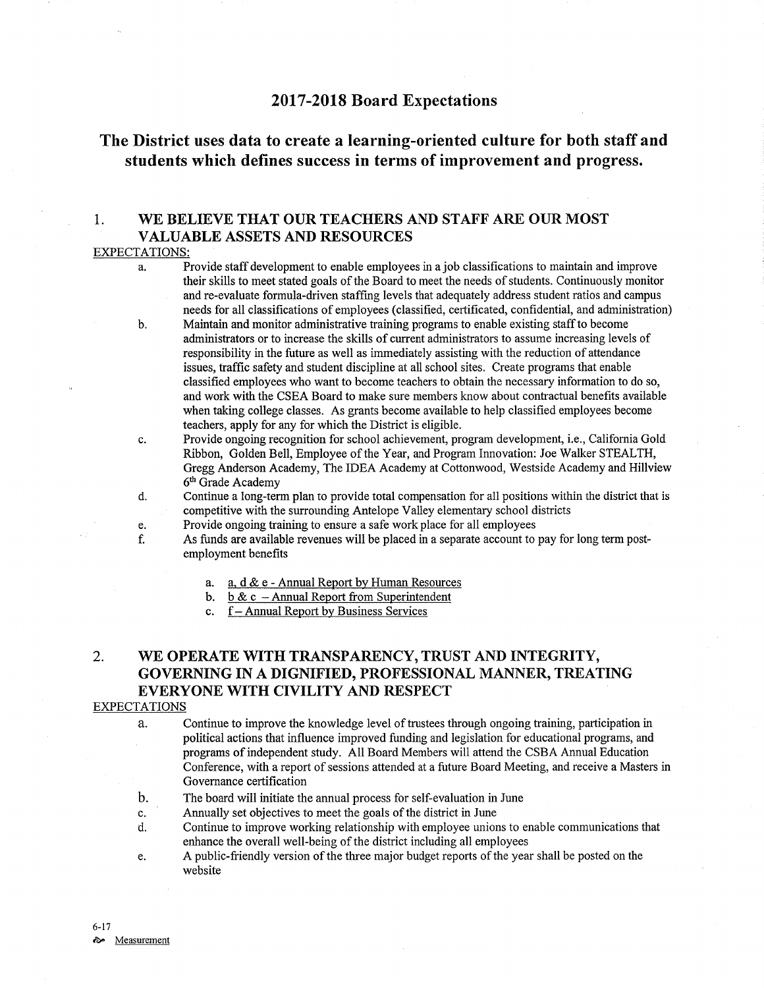## <sup>2017</sup>-2018 Board Expectations

# The District uses data to create a learning-oriented culture for both staff and students which defines success in terms of improvement and progress.

## 1. WE BELIEVE THAT OUR TEACHERS AND STAFF ARE OUR MOST VALUABLE ASSETS AND RESOURCES

#### EXPECTATIONS:

- a, Provide staffdevelopment to enable employees in a job classifications to maintain and improve their skills to meet stated goals of the Board to meet the needs of students. Continuously monitor and re-evaluate formula-driven staffing levels that adequately address student ratios and campus needs for all classifications of employees (classified, certificated, confidential, and administration)
- Maintain and monitor administrative training programs to enable existing staff to become administrators or to increase the skills of current administrators to assume increasing levels of responsibility in the future as well as immediately assisting with the reduction of attendance issues, traffic safety and student discipline at all school sites. Create programs that enable classified employees who want to become teachers to obtain the necessary information to do so, and work with the CSEA Board to make sure members know about contractual benefrts available when taking college classes. As grants become available to help classified employees become teachers, apply for any for which the District is eligible. b
- Provide ongoing recognition for school achievement, program development, i.e., California Gold Ribbon, Golden Bell, Employee of the Year, and Program Innovation: Joe Walker STEALTH, Gregg Anderson Academy, The IDEA Academy at Cottonwood, Westside Academy and Hillview 6<sup>th</sup> Grade Academy c.
- Continue a long-term plan to provide total compensation for all positions within the district that is competitive with the surrounding Antelope Valley elementary school districts d.
- Provide ongoing training to ensure a safe work place for all employees e.
- As funds are available revenues will be placed in a separate account to pay for long term postemployment benefits f.
	- a, d & e Annual Report by Human Resources a.
	- b. b & c Annual Report from Superintenden
	- c. f— Annual Report by Business Services

## 2. WE OPERATE WITH TRANSPARENCY, TRUST AND INTEGRITY, GOVERNING IN A DIGNIFIED, PROFESSIONAL MANNER, TREATING EVERYONE WITH CIVILITY AND RESPECT

#### EXPECTATIONS

a. Continue to improve the knowledge level of trustees through ongoing training, participation in political actions that influence improved funding and legislation for educational programs, and programs of independent study. All Board Members will attend the CSBA Annual Education Conference, with a report of sessions attended at a future Board Meeting, and receive a Masters in Governance certification

- b. The board will initiate the annual process for self-evaluation in June
- c. Annually set objectives to meet the goals of the district in June
- d. Continue to improve working relationship with employee unions to enable communications that enhance the overall well-being of the district including all employees
- e. A public-friendly version of the three major budget reports of the year shall be posted on the website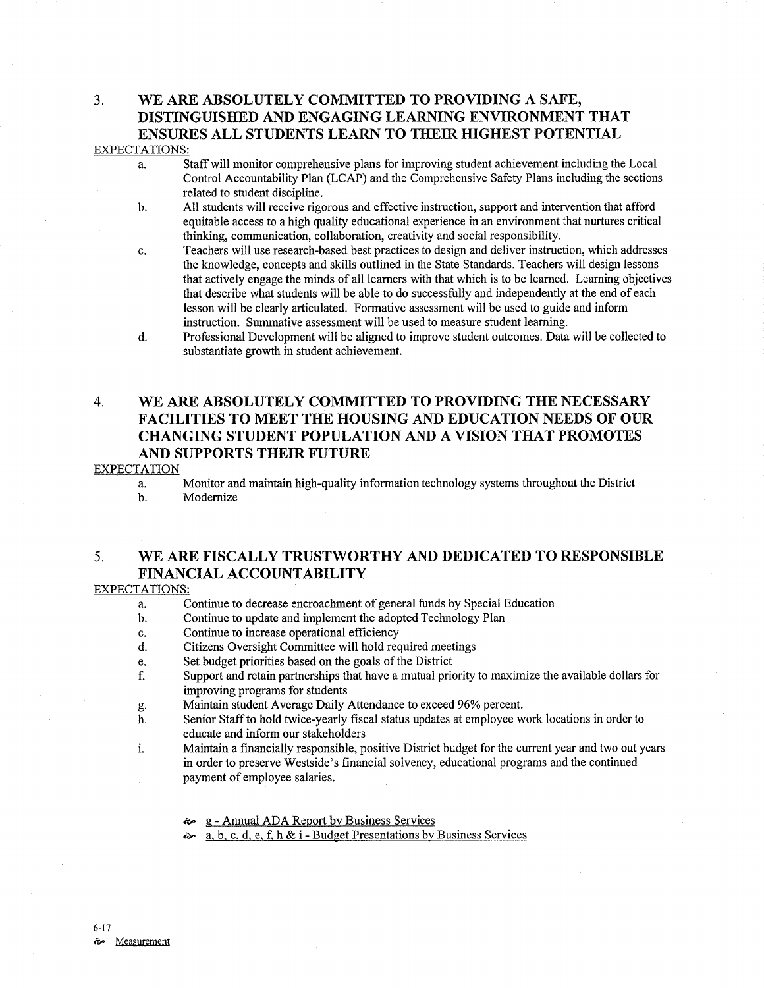## 3. WE ARE ABSOLUTELY COMMITTED TO PROVIDING A SAFE, DISTINGUISHED AND ENGAGING LEARNING ENVIRONMENT THAT ENSURES ALL STUDENTS LEARN TO THEIR HIGHEST POTENTIAL EXPECTATIONS:

- a. Staff will monitor comprehensive plans for improving student achievement including the Local Control Accountability Plan (LCAP) and the Comprehensive Safety Plans including the sections related to student discipline.
- b. All students will receive rigorous and effective instruction, support and intervention that afford equitable access to a high quality educational experience in an environment that nurtures critical thinking, communication, collaboration, creativity and social responsibility.
- c. Teachers will use research-based best practices to design and deliver instruction, which addresses the knowledge, concepts and skills outlined in the State Standards. Teachers will design lessons that actively engage the minds of all learners with that which is to be learned. Leaming objectives that describe what students will be able to do successfully and independently at the end of each lesson will be clearly articulated. Formative assessment will be used to guide and inform instruction. Summative assessment will be used to measure student learning.
- d. Professional Development will be aligned to improve student outcomes. Data will be collected to substantiate growth in student achievement.

## 4. WE ARE ABSOLUTELY COMMITTED TO PROVIDING THE NECESSARY FACILITIES TO MEET THE HOUSING AND EDUCATION NEEDS OF OUR CHANGING STUDENT POPULATION AND A VISION THAT PROMOTES AND SUPPORTS THEIR FUTURE

#### **EXPECTATION**

- a. Monitor and maintain high-quality information technology systems throughout the District b. Modernize
- 

## 5. WE ARE FISCALLY TRUSTWORTHY AND DEDICATED TO RESPONSIBLE FINANCIAL ACCOUNTABILITY

#### EXPECTATIONS:

- a. Continue to decrease encroachment of general funds by Special Education<br>b. Continue to update and implement the adopted Technology Plan<br>c. Continue to increase operational efficiency
- 
- 
- c. Continue to increase operational efficiency<br>d. Citizens Oversight Committee will hold required meetings<br>e. Set budget priorities based on the goals of the District
- 
- e. Set budget priorities based on the goals of the District<br>f. Support and retain partnerships that have a mutual priority to maximize the available dollars for improving programs for students
- 
- g. Maintain student Average Daily Attendance to exceed 96Yo percent. h. Senior Staff to hold twice-yearly fiscal status updates at employee work locations in order to educate and inform our stakeholders
- i. Maintain a financially responsible, positive District budget for the current year and two out years in order to preserve Westside's financial solvency, educational programs and the continued payment of employee salaries.
	- **E** g Annual ADA Report by Business Services
	- èp a. b. c. d. e. f. h & i - Budeet Presentations by Business Services

t